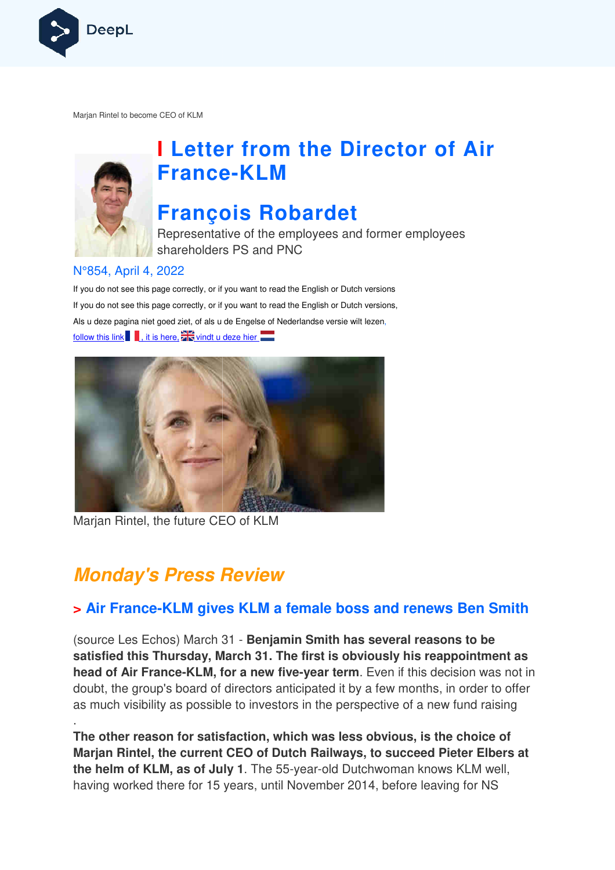

Marjan Rintel to become CEO of KLM



# **I Letter from the Director of Air France France-KLM**

# **François Robardet**

Representative of the employees and former employees shareholders PS and PNC

#### N°854, April 4, 2022

If you do not see this page correctly, or if you want to read the English or Dutch versions If you do not see this page correctly, or if you want to read the English or Dutch versions, If you do not see this page correctly, or if you want to read the English or Dutch versior<br>Als u deze pagina niet goed ziet, of als u de Engelse of Nederlandse versie wilt lezen, follow this link  $\blacksquare$ , it is here,  $\blacksquare$  vindt u deze hier



Marjan Rintel, the future CEO of KLM

# **Monday's Press Review**

.

#### **> Air France-KLM gives KLM a female boss and renews Ben Smith**

(source Les Echos) March 31 - **Benjamin Smith has several reasons to be satisfied this Thursday, March 31. The first is obviously his reappointment as head of Air France-KLM, for a new five-year term.** Even if this decision was not in doubt, the group's board of directors anticipated it by a few months, in order to offer as much visibility as possible to investors in the perspective of a new fund raising

**The other reason for satisfaction, which was less obvious, is the choice of**  Marjan Rintel, the current CEO of Dutch Railways, to succeed Pieter Elbers at the helm of KLM, as of July 1. The 55-year-old Dutchwoman knows KLM well, having worked there for 15 years, until November 2014, before leaving for NS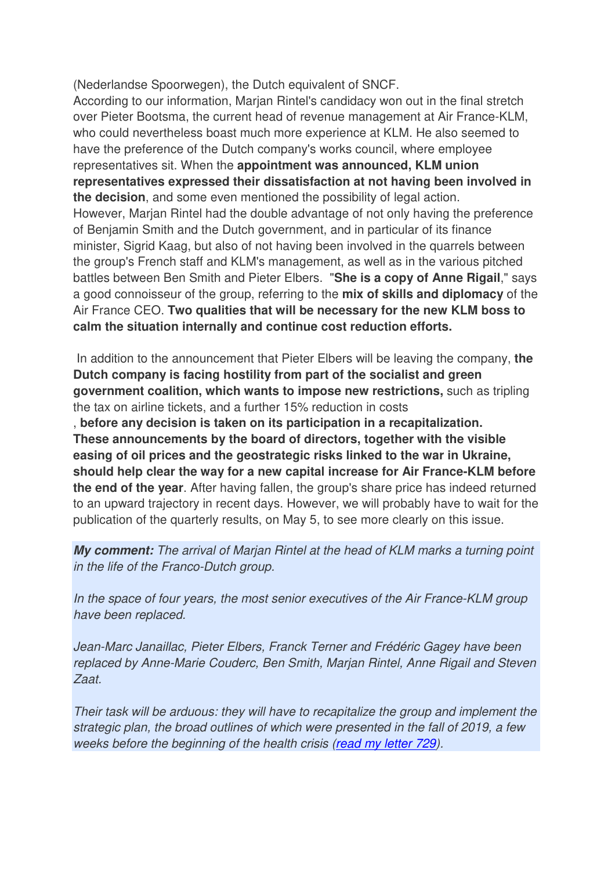(Nederlandse Spoorwegen), the Dutch equivalent of SNCF.

According to our information, Marjan Rintel's candidacy won out in the final stretch over Pieter Bootsma, the current head of revenue management at Air France-KLM, who could nevertheless boast much more experience at KLM. He also seemed to have the preference of the Dutch company's works council, where employee representatives sit. When the **appointment was announced, KLM union representatives expressed their dissatisfaction at not having been involved in the decision**, and some even mentioned the possibility of legal action. However, Marjan Rintel had the double advantage of not only having the preference of Benjamin Smith and the Dutch government, and in particular of its finance minister, Sigrid Kaag, but also of not having been involved in the quarrels between the group's French staff and KLM's management, as well as in the various pitched battles between Ben Smith and Pieter Elbers. "**She is a copy of Anne Rigail**," says a good connoisseur of the group, referring to the **mix of skills and diplomacy** of the Air France CEO. **Two qualities that will be necessary for the new KLM boss to calm the situation internally and continue cost reduction efforts.** 

 In addition to the announcement that Pieter Elbers will be leaving the company, **the Dutch company is facing hostility from part of the socialist and green government coalition, which wants to impose new restrictions,** such as tripling the tax on airline tickets, and a further 15% reduction in costs

, **before any decision is taken on its participation in a recapitalization. These announcements by the board of directors, together with the visible easing of oil prices and the geostrategic risks linked to the war in Ukraine, should help clear the way for a new capital increase for Air France-KLM before the end of the year**. After having fallen, the group's share price has indeed returned to an upward trajectory in recent days. However, we will probably have to wait for the publication of the quarterly results, on May 5, to see more clearly on this issue.

**My comment:** The arrival of Marjan Rintel at the head of KLM marks a turning point in the life of the Franco-Dutch group.

In the space of four years, the most senior executives of the Air France-KLM group have been replaced.

Jean-Marc Janaillac, Pieter Elbers, Franck Terner and Frédéric Gagey have been replaced by Anne-Marie Couderc, Ben Smith, Marjan Rintel, Anne Rigail and Steven Zaat.

Their task will be arduous: they will have to recapitalize the group and implement the strategic plan, the broad outlines of which were presented in the fall of 2019, a few weeks before the beginning of the health crisis (read my letter 729).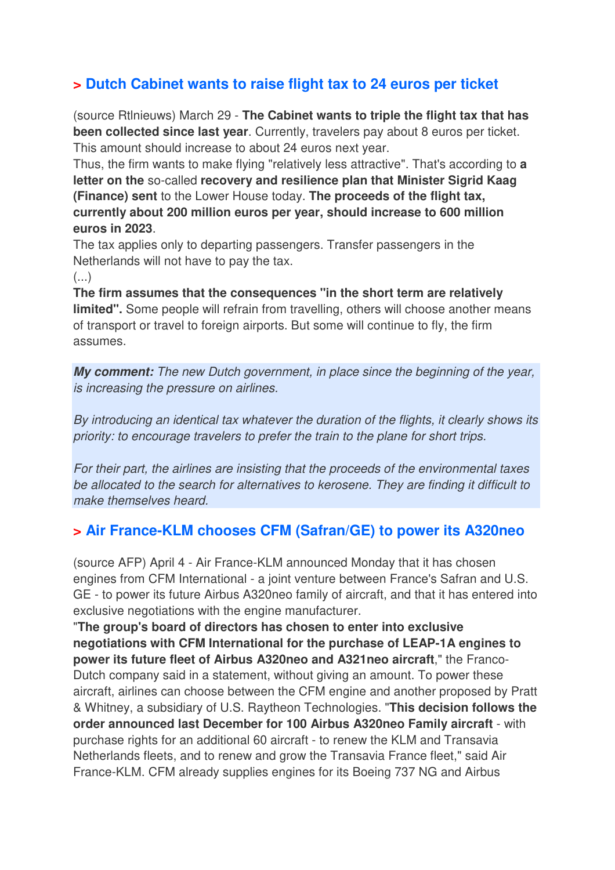#### **> Dutch Cabinet wants to raise flight tax to 24 euros per ticket**

(source Rtlnieuws) March 29 - **The Cabinet wants to triple the flight tax that has been collected since last year**. Currently, travelers pay about 8 euros per ticket. This amount should increase to about 24 euros next year.

Thus, the firm wants to make flying "relatively less attractive". That's according to **a letter on the** so-called **recovery and resilience plan that Minister Sigrid Kaag (Finance) sent** to the Lower House today. **The proceeds of the flight tax, currently about 200 million euros per year, should increase to 600 million euros in 2023**.

The tax applies only to departing passengers. Transfer passengers in the Netherlands will not have to pay the tax.

(...)

**The firm assumes that the consequences "in the short term are relatively limited".** Some people will refrain from travelling, others will choose another means of transport or travel to foreign airports. But some will continue to fly, the firm assumes.

**My comment:** The new Dutch government, in place since the beginning of the year, is increasing the pressure on airlines.

By introducing an identical tax whatever the duration of the flights, it clearly shows its priority: to encourage travelers to prefer the train to the plane for short trips.

For their part, the airlines are insisting that the proceeds of the environmental taxes be allocated to the search for alternatives to kerosene. They are finding it difficult to make themselves heard.

#### **> Air France-KLM chooses CFM (Safran/GE) to power its A320neo**

(source AFP) April 4 - Air France-KLM announced Monday that it has chosen engines from CFM International - a joint venture between France's Safran and U.S. GE - to power its future Airbus A320neo family of aircraft, and that it has entered into exclusive negotiations with the engine manufacturer.

"**The group's board of directors has chosen to enter into exclusive negotiations with CFM International for the purchase of LEAP-1A engines to power its future fleet of Airbus A320neo and A321neo aircraft**," the Franco-Dutch company said in a statement, without giving an amount. To power these aircraft, airlines can choose between the CFM engine and another proposed by Pratt & Whitney, a subsidiary of U.S. Raytheon Technologies. "**This decision follows the order announced last December for 100 Airbus A320neo Family aircraft** - with purchase rights for an additional 60 aircraft - to renew the KLM and Transavia Netherlands fleets, and to renew and grow the Transavia France fleet," said Air France-KLM. CFM already supplies engines for its Boeing 737 NG and Airbus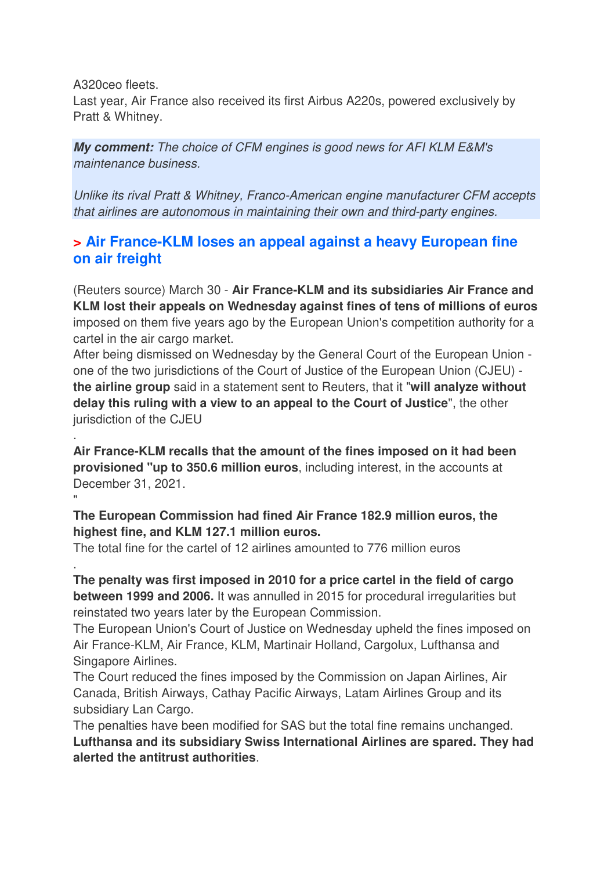A320ceo fleets.

.

.

Last year, Air France also received its first Airbus A220s, powered exclusively by Pratt & Whitney.

**My comment:** The choice of CFM engines is good news for AFI KLM E&M's maintenance business.

Unlike its rival Pratt & Whitney, Franco-American engine manufacturer CFM accepts that airlines are autonomous in maintaining their own and third-party engines.

#### **> Air France-KLM loses an appeal against a heavy European fine on air freight**

(Reuters source) March 30 - **Air France-KLM and its subsidiaries Air France and KLM lost their appeals on Wednesday against fines of tens of millions of euros**  imposed on them five years ago by the European Union's competition authority for a cartel in the air cargo market.

After being dismissed on Wednesday by the General Court of the European Union one of the two jurisdictions of the Court of Justice of the European Union (CJEU) **the airline group** said in a statement sent to Reuters, that it "**will analyze without delay this ruling with a view to an appeal to the Court of Justice**", the other jurisdiction of the CJEU

**Air France-KLM recalls that the amount of the fines imposed on it had been provisioned "up to 350.6 million euros**, including interest, in the accounts at December 31, 2021. "

**The European Commission had fined Air France 182.9 million euros, the highest fine, and KLM 127.1 million euros.** 

The total fine for the cartel of 12 airlines amounted to 776 million euros

**The penalty was first imposed in 2010 for a price cartel in the field of cargo between 1999 and 2006.** It was annulled in 2015 for procedural irregularities but reinstated two years later by the European Commission.

The European Union's Court of Justice on Wednesday upheld the fines imposed on Air France-KLM, Air France, KLM, Martinair Holland, Cargolux, Lufthansa and Singapore Airlines.

The Court reduced the fines imposed by the Commission on Japan Airlines, Air Canada, British Airways, Cathay Pacific Airways, Latam Airlines Group and its subsidiary Lan Cargo.

The penalties have been modified for SAS but the total fine remains unchanged. **Lufthansa and its subsidiary Swiss International Airlines are spared. They had alerted the antitrust authorities**.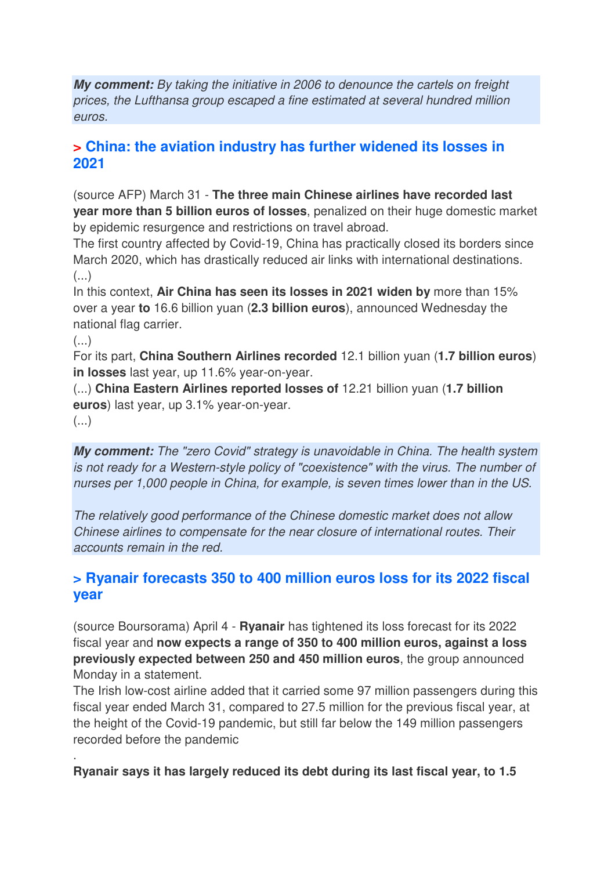**My comment:** By taking the initiative in 2006 to denounce the cartels on freight prices, the Lufthansa group escaped a fine estimated at several hundred million euros.

#### **> China: the aviation industry has further widened its losses in 2021**

(source AFP) March 31 - **The three main Chinese airlines have recorded last year more than 5 billion euros of losses**, penalized on their huge domestic market by epidemic resurgence and restrictions on travel abroad.

The first country affected by Covid-19, China has practically closed its borders since March 2020, which has drastically reduced air links with international destinations. (...)

In this context, **Air China has seen its losses in 2021 widen by** more than 15% over a year **to** 16.6 billion yuan (**2.3 billion euros**), announced Wednesday the national flag carrier.

 $\left( \ldots \right)$ 

For its part, **China Southern Airlines recorded** 12.1 billion yuan (**1.7 billion euros**) **in losses** last year, up 11.6% year-on-year.

(...) **China Eastern Airlines reported losses of** 12.21 billion yuan (**1.7 billion euros**) last year, up 3.1% year-on-year.

 $(\ldots)$ 

.

**My comment:** The "zero Covid" strategy is unavoidable in China. The health system is not ready for a Western-style policy of "coexistence" with the virus. The number of nurses per 1,000 people in China, for example, is seven times lower than in the US.

The relatively good performance of the Chinese domestic market does not allow Chinese airlines to compensate for the near closure of international routes. Their accounts remain in the red.

#### **> Ryanair forecasts 350 to 400 million euros loss for its 2022 fiscal year**

(source Boursorama) April 4 - **Ryanair** has tightened its loss forecast for its 2022 fiscal year and **now expects a range of 350 to 400 million euros, against a loss previously expected between 250 and 450 million euros**, the group announced Monday in a statement.

The Irish low-cost airline added that it carried some 97 million passengers during this fiscal year ended March 31, compared to 27.5 million for the previous fiscal year, at the height of the Covid-19 pandemic, but still far below the 149 million passengers recorded before the pandemic

**Ryanair says it has largely reduced its debt during its last fiscal year, to 1.5**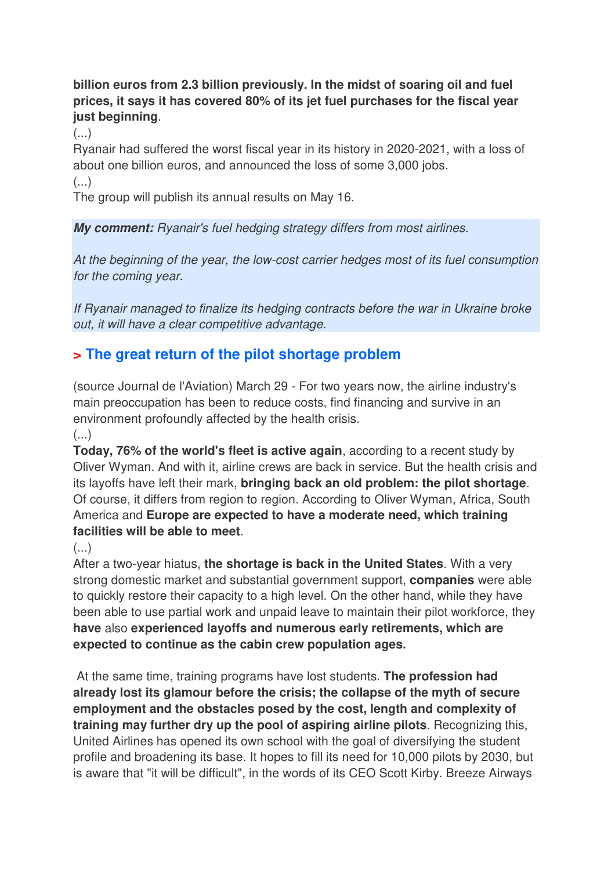#### **billion euros from 2.3 billion previously. In the midst of soaring oil and fuel prices, it says it has covered 80% of its jet fuel purchases for the fiscal year just beginning**.

(...)

Ryanair had suffered the worst fiscal year in its history in 2020-2021, with a loss of about one billion euros, and announced the loss of some 3,000 jobs.  $\left( \ldots \right)$ 

The group will publish its annual results on May 16.

**My comment:** Ryanair's fuel hedging strategy differs from most airlines.

At the beginning of the year, the low-cost carrier hedges most of its fuel consumption for the coming year.

If Ryanair managed to finalize its hedging contracts before the war in Ukraine broke out, it will have a clear competitive advantage.

#### **> The great return of the pilot shortage problem**

(source Journal de l'Aviation) March 29 - For two years now, the airline industry's main preoccupation has been to reduce costs, find financing and survive in an environment profoundly affected by the health crisis.

 $\left(\ldots\right)$ 

**Today, 76% of the world's fleet is active again**, according to a recent study by Oliver Wyman. And with it, airline crews are back in service. But the health crisis and its layoffs have left their mark, **bringing back an old problem: the pilot shortage**. Of course, it differs from region to region. According to Oliver Wyman, Africa, South America and **Europe are expected to have a moderate need, which training facilities will be able to meet**.

(...)

After a two-year hiatus, **the shortage is back in the United States**. With a very strong domestic market and substantial government support, **companies** were able to quickly restore their capacity to a high level. On the other hand, while they have been able to use partial work and unpaid leave to maintain their pilot workforce, they **have** also **experienced layoffs and numerous early retirements, which are expected to continue as the cabin crew population ages.** 

 At the same time, training programs have lost students. **The profession had already lost its glamour before the crisis; the collapse of the myth of secure employment and the obstacles posed by the cost, length and complexity of training may further dry up the pool of aspiring airline pilots**. Recognizing this, United Airlines has opened its own school with the goal of diversifying the student profile and broadening its base. It hopes to fill its need for 10,000 pilots by 2030, but is aware that "it will be difficult", in the words of its CEO Scott Kirby. Breeze Airways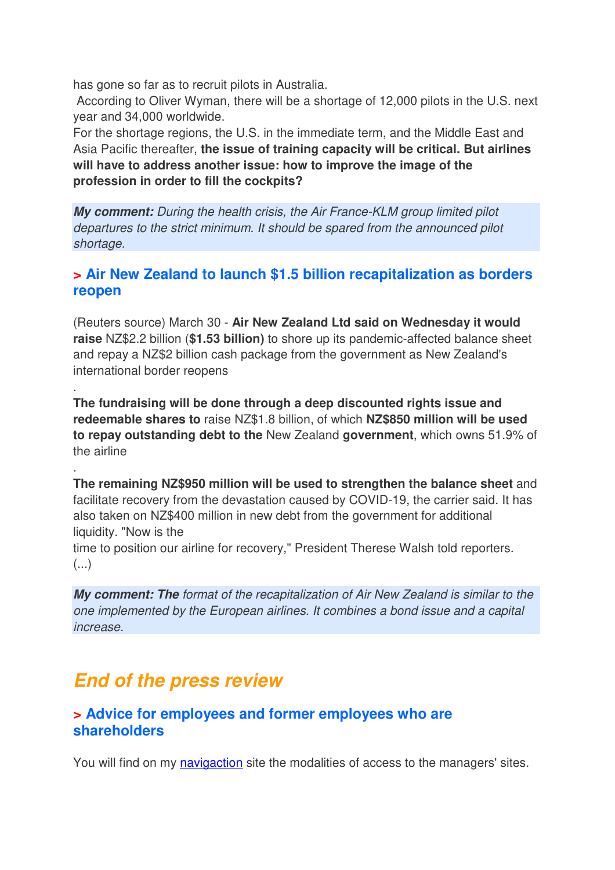has gone so far as to recruit pilots in Australia.

 According to Oliver Wyman, there will be a shortage of 12,000 pilots in the U.S. next year and 34,000 worldwide.

For the shortage regions, the U.S. in the immediate term, and the Middle East and Asia Pacific thereafter, **the issue of training capacity will be critical. But airlines will have to address another issue: how to improve the image of the profession in order to fill the cockpits?**

**My comment:** During the health crisis, the Air France-KLM group limited pilot departures to the strict minimum. It should be spared from the announced pilot shortage.

#### **> Air New Zealand to launch \$1.5 billion recapitalization as borders reopen**

(Reuters source) March 30 - **Air New Zealand Ltd said on Wednesday it would raise** NZ\$2.2 billion (**\$1.53 billion)** to shore up its pandemic-affected balance sheet and repay a NZ\$2 billion cash package from the government as New Zealand's international border reopens

**The fundraising will be done through a deep discounted rights issue and redeemable shares to** raise NZ\$1.8 billion, of which **NZ\$850 million will be used to repay outstanding debt to the** New Zealand **government**, which owns 51.9% of the airline

**The remaining NZ\$950 million will be used to strengthen the balance sheet** and facilitate recovery from the devastation caused by COVID-19, the carrier said. It has also taken on NZ\$400 million in new debt from the government for additional liquidity. "Now is the

time to position our airline for recovery," President Therese Walsh told reporters. (...)

**My comment: The** format of the recapitalization of Air New Zealand is similar to the one implemented by the European airlines. It combines a bond issue and a capital increase.

### **End of the press review**

.

.

#### **> Advice for employees and former employees who are shareholders**

You will find on my navigaction site the modalities of access to the managers' sites.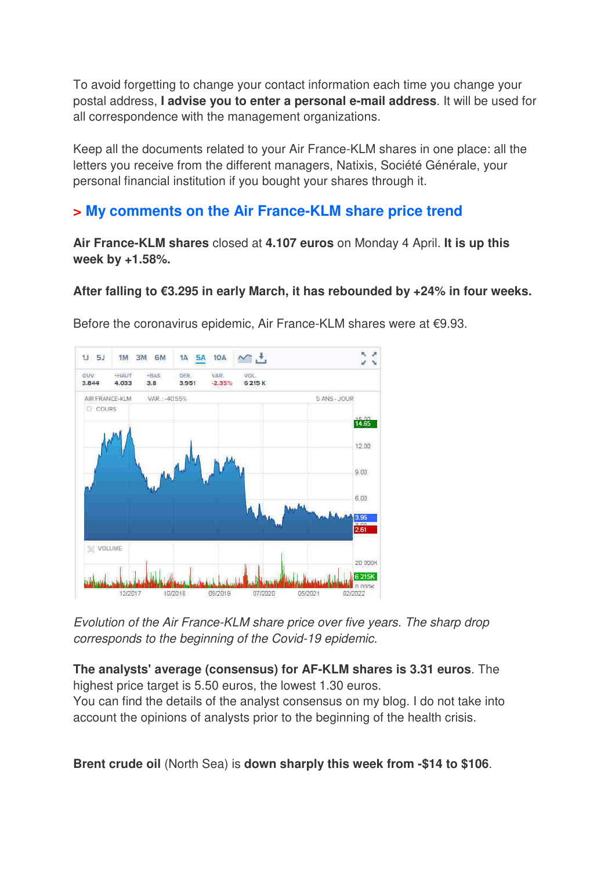To avoid forgetting to change your contact information each time you change your postal address, **I advise you to enter a personal e-mail address**. It will be used for all correspondence with the management organizations.

Keep all the documents related to your Air France-KLM shares in one place: all the letters you receive from the different managers, Natixis, Société Générale, your personal financial institution if you bought your shares through it.

#### **> My comments on the Air France-KLM share price trend**

**Air France-KLM shares** closed at **4.107 euros** on Monday 4 April. **It is up this week by +1.58%.** 

#### **After falling to €3.295 in early March, it has rebounded by +24% in four weeks.**



Before the coronavirus epidemic, Air France-KLM shares were at €9.93.

Evolution of the Air France-KLM share price over five years. The sharp drop corresponds to the beginning of the Covid-19 epidemic.

**The analysts' average (consensus) for AF-KLM shares is 3.31 euros**. The highest price target is 5.50 euros, the lowest 1.30 euros.

You can find the details of the analyst consensus on my blog. I do not take into account the opinions of analysts prior to the beginning of the health crisis.

**Brent crude oil** (North Sea) is **down sharply this week from -\$14 to \$106**.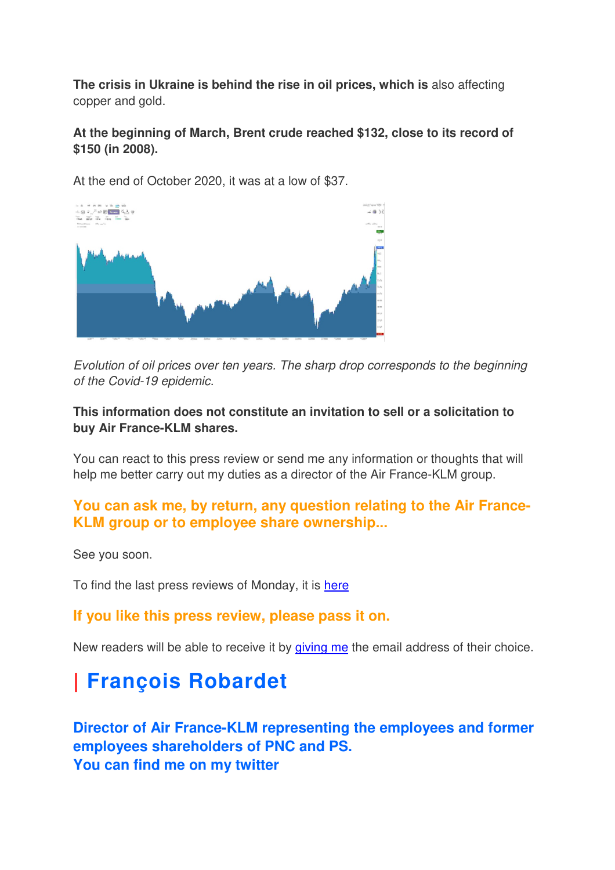**The crisis in Ukraine is behind the rise in oil prices, which is** also affecting copper and gold.

#### **At the beginning of March, Brent crude reached \$132, close to its record of \$150 (in 2008).**

At the end of October 2020, it was at a low of \$37.



Evolution of oil prices over ten years. The sharp drop corresponds to the beginning of the Covid-19 epidemic.

#### **This information does not constitute an invitation to sell or a solicitation to buy Air France-KLM shares.**

You can react to this press review or send me any information or thoughts that will help me better carry out my duties as a director of the Air France-KLM group.

#### **You can ask me, by return, any question relating to the Air France-KLM group or to employee share ownership...**

See you soon.

To find the last press reviews of Monday, it is here

#### **If you like this press review, please pass it on.**

New readers will be able to receive it by giving me the email address of their choice.

# **| François Robardet**

**Director of Air France-KLM representing the employees and former employees shareholders of PNC and PS. You can find me on my twitter**